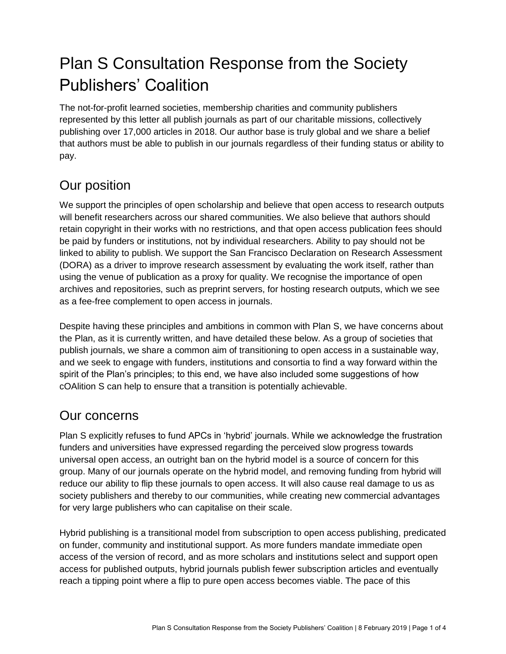# Plan S Consultation Response from the Society Publishers' Coalition

The not-for-profit learned societies, membership charities and community publishers represented by this letter all publish journals as part of our charitable missions, collectively publishing over 17,000 articles in 2018. Our author base is truly global and we share a belief that authors must be able to publish in our journals regardless of their funding status or ability to pay.

## Our position

We support the principles of open scholarship and believe that open access to research outputs will benefit researchers across our shared communities. We also believe that authors should retain copyright in their works with no restrictions, and that open access publication fees should be paid by funders or institutions, not by individual researchers. Ability to pay should not be linked to ability to publish. We support the San Francisco Declaration on Research Assessment (DORA) as a driver to improve research assessment by evaluating the work itself, rather than using the venue of publication as a proxy for quality. We recognise the importance of open archives and repositories, such as preprint servers, for hosting research outputs, which we see as a fee-free complement to open access in journals.

Despite having these principles and ambitions in common with Plan S, we have concerns about the Plan, as it is currently written, and have detailed these below. As a group of societies that publish journals, we share a common aim of transitioning to open access in a sustainable way, and we seek to engage with funders, institutions and consortia to find a way forward within the spirit of the Plan's principles; to this end, we have also included some suggestions of how cOAlition S can help to ensure that a transition is potentially achievable.

### Our concerns

Plan S explicitly refuses to fund APCs in 'hybrid' journals. While we acknowledge the frustration funders and universities have expressed regarding the perceived slow progress towards universal open access, an outright ban on the hybrid model is a source of concern for this group. Many of our journals operate on the hybrid model, and removing funding from hybrid will reduce our ability to flip these journals to open access. It will also cause real damage to us as society publishers and thereby to our communities, while creating new commercial advantages for very large publishers who can capitalise on their scale.

Hybrid publishing is a transitional model from subscription to open access publishing, predicated on funder, community and institutional support. As more funders mandate immediate open access of the version of record, and as more scholars and institutions select and support open access for published outputs, hybrid journals publish fewer subscription articles and eventually reach a tipping point where a flip to pure open access becomes viable. The pace of this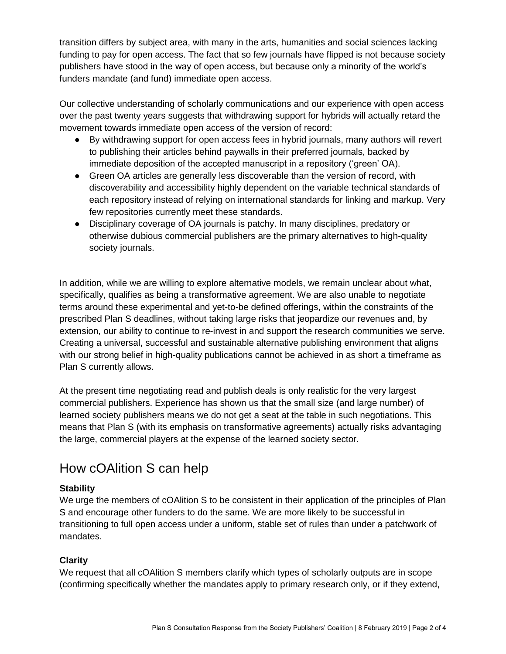transition differs by subject area, with many in the arts, humanities and social sciences lacking funding to pay for open access. The fact that so few journals have flipped is not because society publishers have stood in the way of open access, but because only a minority of the world's funders mandate (and fund) immediate open access.

Our collective understanding of scholarly communications and our experience with open access over the past twenty years suggests that withdrawing support for hybrids will actually retard the movement towards immediate open access of the version of record:

- By withdrawing support for open access fees in hybrid journals, many authors will revert to publishing their articles behind paywalls in their preferred journals, backed by immediate deposition of the accepted manuscript in a repository ('green' OA).
- Green OA articles are generally less discoverable than the version of record, with discoverability and accessibility highly dependent on the variable technical standards of each repository instead of relying on international standards for linking and markup. Very few repositories currently meet these standards.
- Disciplinary coverage of OA journals is patchy. In many disciplines, predatory or otherwise dubious commercial publishers are the primary alternatives to high-quality society journals.

In addition, while we are willing to explore alternative models, we remain unclear about what, specifically, qualifies as being a transformative agreement. We are also unable to negotiate terms around these experimental and yet-to-be defined offerings, within the constraints of the prescribed Plan S deadlines, without taking large risks that jeopardize our revenues and, by extension, our ability to continue to re-invest in and support the research communities we serve. Creating a universal, successful and sustainable alternative publishing environment that aligns with our strong belief in high-quality publications cannot be achieved in as short a timeframe as Plan S currently allows.

At the present time negotiating read and publish deals is only realistic for the very largest commercial publishers. Experience has shown us that the small size (and large number) of learned society publishers means we do not get a seat at the table in such negotiations. This means that Plan S (with its emphasis on transformative agreements) actually risks advantaging the large, commercial players at the expense of the learned society sector.

## How cOAlition S can help

### **Stability**

We urge the members of cOAlition S to be consistent in their application of the principles of Plan S and encourage other funders to do the same. We are more likely to be successful in transitioning to full open access under a uniform, stable set of rules than under a patchwork of mandates.

### **Clarity**

We request that all cOAlition S members clarify which types of scholarly outputs are in scope (confirming specifically whether the mandates apply to primary research only, or if they extend,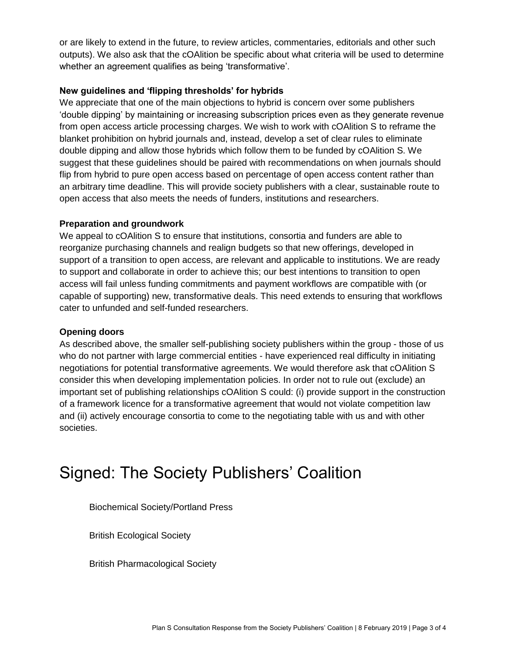or are likely to extend in the future, to review articles, commentaries, editorials and other such outputs). We also ask that the cOAlition be specific about what criteria will be used to determine whether an agreement qualifies as being 'transformative'.

#### **New guidelines and 'flipping thresholds' for hybrids**

We appreciate that one of the main objections to hybrid is concern over some publishers 'double dipping' by maintaining or increasing subscription prices even as they generate revenue from open access article processing charges. We wish to work with cOAlition S to reframe the blanket prohibition on hybrid journals and, instead, develop a set of clear rules to eliminate double dipping and allow those hybrids which follow them to be funded by cOAlition S. We suggest that these guidelines should be paired with recommendations on when journals should flip from hybrid to pure open access based on percentage of open access content rather than an arbitrary time deadline. This will provide society publishers with a clear, sustainable route to open access that also meets the needs of funders, institutions and researchers.

#### **Preparation and groundwork**

We appeal to cOAlition S to ensure that institutions, consortia and funders are able to reorganize purchasing channels and realign budgets so that new offerings, developed in support of a transition to open access, are relevant and applicable to institutions. We are ready to support and collaborate in order to achieve this; our best intentions to transition to open access will fail unless funding commitments and payment workflows are compatible with (or capable of supporting) new, transformative deals. This need extends to ensuring that workflows cater to unfunded and self-funded researchers.

#### **Opening doors**

As described above, the smaller self-publishing society publishers within the group - those of us who do not partner with large commercial entities - have experienced real difficulty in initiating negotiations for potential transformative agreements. We would therefore ask that cOAlition S consider this when developing implementation policies. In order not to rule out (exclude) an important set of publishing relationships cOAlition S could: (i) provide support in the construction of a framework licence for a transformative agreement that would not violate competition law and (ii) actively encourage consortia to come to the negotiating table with us and with other societies.

# Signed: The Society Publishers' Coalition

Biochemical Society/Portland Press

British Ecological Society

British Pharmacological Society